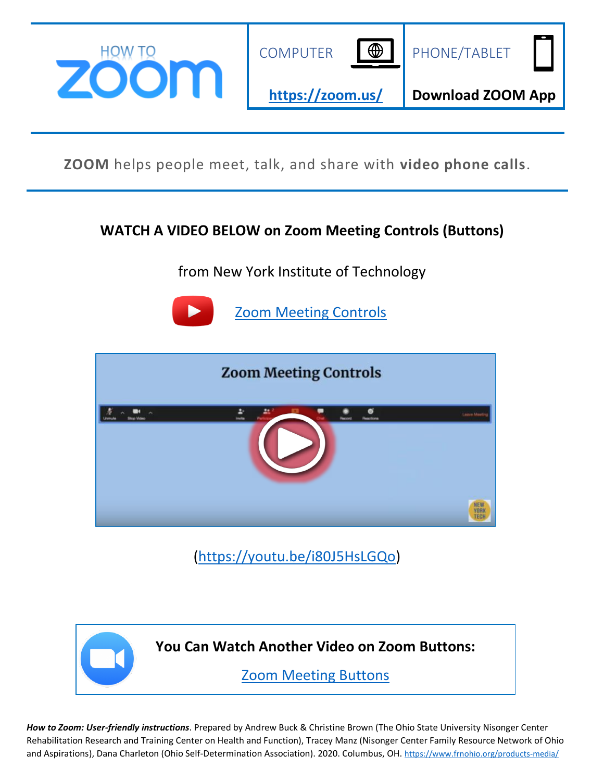

**ZOOM** helps people meet, talk, and share with **video phone calls**.

## **WATCH A VIDEO BELOW on Zoom Meeting Controls (Buttons)**

from New York Institute of Technology



[Zoom Meeting Controls](https://youtu.be/i80J5HsLGQo) 



[\(https://youtu.be/i80J5HsLGQo\)](https://youtu.be/i80J5HsLGQo)



*How to Zoom: User-friendly instructions*. Prepared by Andrew Buck & Christine Brown (The Ohio State University Nisonger Center Rehabilitation Research and Training Center on Health and Function), Tracey Manz (Nisonger Center Family Resource Network of Ohio and Aspirations), Dana Charleton (Ohio Self-Determination Association). 2020. Columbus, OH. [https://www.frnohio.org/products-media/](https://mcas-proxyweb.us3.cas.ms/certificate-checker?login=false&originalUrl=https%3A%2F%2Fwww.frnohio.org.us3.cas.ms%2Fproducts-media%2F)